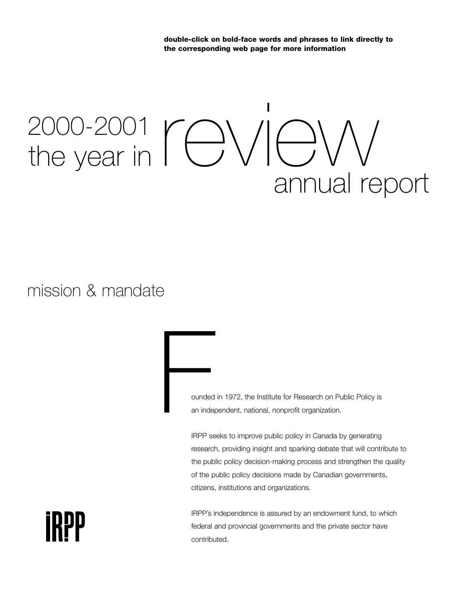**double-click on bold-face words and phrases to link directly to the corresponding web page for more information**

# 2000-2001  $\Gamma$ evear in  $\Gamma$ evear in  $\Gamma$ 2000-2001 annual report

mission & mandate

ounded in 1972, the Institute for Research on Public Policy is an independent, national, nonprofit organization. ounded<br>an independence<br>IPPP as

IRPP seeks to improve public policy in Canada by generating research, providing insight and sparking debate that will contribute to the public policy decision-making process and strengthen the quality of the public policy decisions made by Canadian governments, citizens, institutions and organizations.

IRPP's independence is assured by an endowment fund, to which federal and provincial governments and the private sector have contributed.

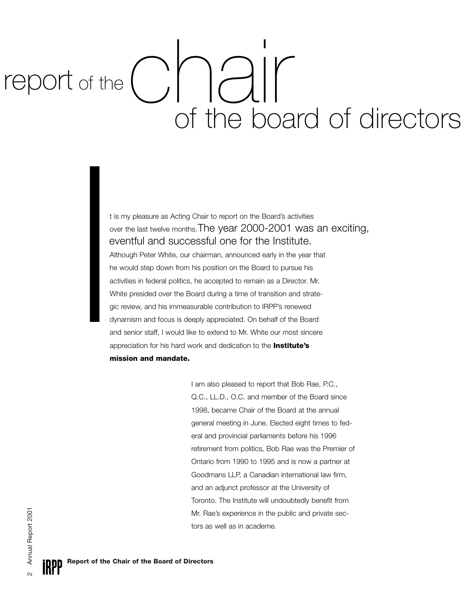report of the  $\begin{pmatrix} 1 \\ 1 \end{pmatrix}$ of the board of directors

> t is my pleasure as Acting Chair to report on the Board's activities over the last twelve months. The year 2000-2001 was an exciting, eventful and successful one for the Institute.

Although Peter White, our chairman, announced early in the year that he would step down from his position on the Board to pursue his activities in federal politics, he accepted to remain as a Director. Mr. White presided over the Board during a time of transition and strategic review, and his immeasurable contribution to IRPP's renewed dynamism and focus is deeply appreciated. On behalf of the Board and senior staff, I would like to extend to Mr. White our most sincere appreciation for his hard work and dedication to the **[Institute's](http://www.irpp.org/about/ab_miss.htm)  [mission and mandate.](http://www.irpp.org/about/ab_miss.htm)** TO<br>
C<br>
C<br>
A<br>
h<br>
a<br>
N<br>
g<br>
d<br>
a<br>
a<br>
m

> I am also pleased to report that Bob Rae, P.C., Q.C., LL.D., O.C. and member of the Board since 1998, became Chair of the Board at the annual general meeting in June. Elected eight times to federal and provincial parliaments before his 1996 retirement from politics, Bob Rae was the Premier of Ontario from 1990 to 1995 and is now a partner at Goodmans LLP, a Canadian international law firm, and an adjunct professor at the University of Toronto. The Institute will undoubtedly benefit from Mr. Rae's experience in the public and private sectors as well as in academe.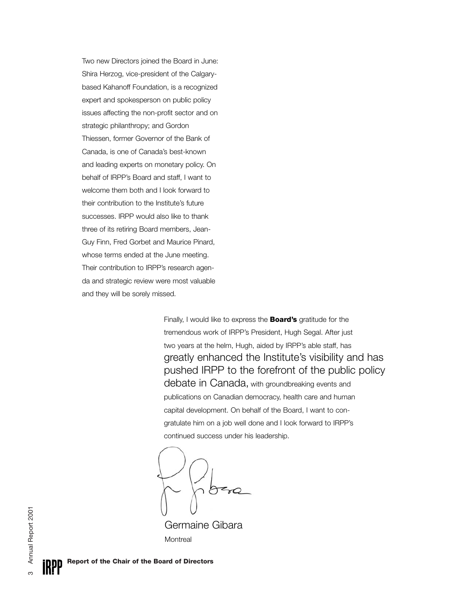Two new Directors joined the Board in June: Shira Herzog, vice-president of the Calgarybased Kahanoff Foundation, is a recognized expert and spokesperson on public policy issues affecting the non-profit sector and on strategic philanthropy; and Gordon Thiessen, former Governor of the Bank of Canada, is one of Canada's best-known and leading experts on monetary policy. On behalf of IRPP's Board and staff, I want to welcome them both and I look forward to their contribution to the Institute's future successes. IRPP would also like to thank three of its retiring Board members, Jean-Guy Finn, Fred Gorbet and Maurice Pinard, whose terms ended at the June meeting. Their contribution to IRPP's research agenda and strategic review were most valuable and they will be sorely missed.

> Finally, I would like to express the **[Board's](http://www.irpp.org/about/ab_board.htm)** gratitude for the tremendous work of IRPP's President, Hugh Segal. After just two years at the helm, Hugh, aided by IRPP's able staff, has debate in Canada, with groundbreaking events and publications on Canadian democracy, health care and human capital development. On behalf of the Board, I want to congratulate him on a job well done and I look forward to IRPP's continued success under his leadership. greatly enhanced the Institute's visibility and has pushed IRPP to the forefront of the public policy

Germaine Gibara **Montreal**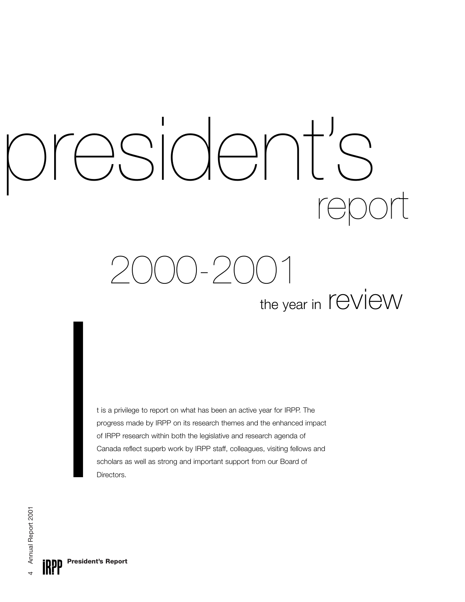# president's

2000-2001 the year in ICVICW

t is a privilege to report on what has been an active year for IRPP. The progress made by IRPP on its research themes and the enhanced impact of IRPP research within both the legislative and research agenda of Canada reflect superb work by IRPP staff, colleagues, visiting fellows and ITTE YEAT<br>tis a privilege to report on what has been an active year for IRPP. T<br>progress made by IRPP on its research themes and the enhanced<br>of IRPP research within both the legislative and research agenda of<br>Canada refle

**President's Report IRPP**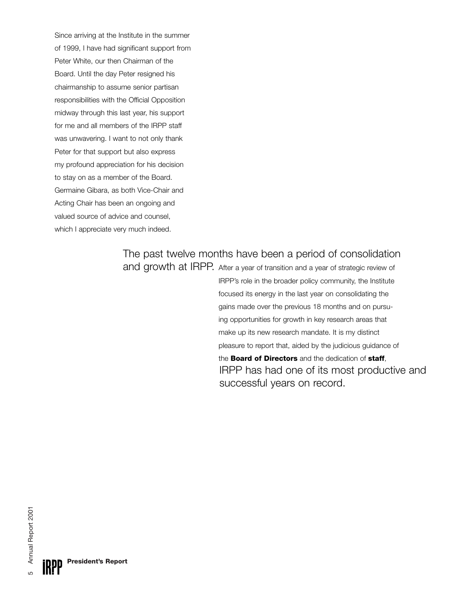Since arriving at the Institute in the summer of 1999, I have had significant support from Peter White, our then Chairman of the Board. Until the day Peter resigned his chairmanship to assume senior partisan responsibilities with the Official Opposition midway through this last year, his support for me and all members of the IRPP staff was unwavering. I want to not only thank Peter for that support but also express my profound appreciation for his decision to stay on as a member of the Board. Germaine Gibara, as both Vice-Chair and Acting Chair has been an ongoing and valued source of advice and counsel, which I appreciate very much indeed.

## The past twelve months have been a period of consolidation

and growth at IRPP. After a year of transition and a year of strategic review of IRPP has had one of its most productive and successful years on record. IRPP's role in the broader policy community, the Institute focused its energy in the last year on consolidating the gains made over the previous 18 months and on pursuing opportunities for growth in key research areas that make up its new research mandate. It is my distinct pleasure to report that, aided by the judicious guidance of the **[Board of Directors](http://www.irpp.org/about/ab_board.htm)** and the dedication of **[staff](http://www.irpp.org/about/ab_staff.htm)**,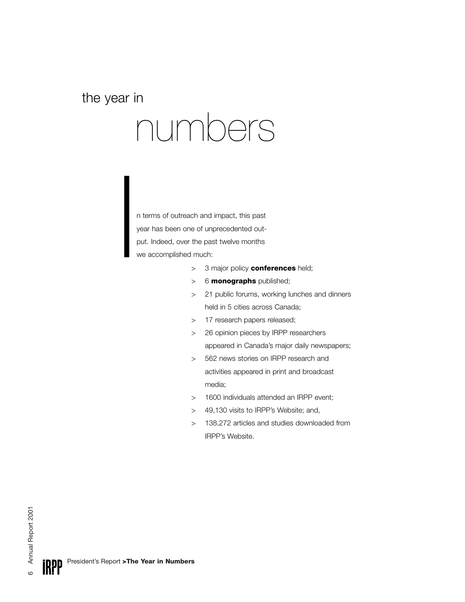#### the year in

# numbers

I n terms of outreach and impact, this past year has been one of unprecedented output. Indeed, over the past twelve months we accomplished much:

- > 3 major policy **[conferences](http://www.irpp.org/events/ev_home.htm)** held;
- > 6 **[monographs](http://www.irpp.org/books/bk_home.htm)** published;
- > 21 public forums, working lunches and dinners held in 5 cities across Canada;
- > 17 research papers released;
- > 26 opinion pieces by IRPP researchers appeared in Canada's major daily newspapers;
- > 562 news stories on IRPP research and activities appeared in print and broadcast media;
- > 1600 individuals attended an IRPP event;
- > 49,130 visits to IRPP's Website; and,
- > 138,272 articles and studies downloaded from IRPP's Website.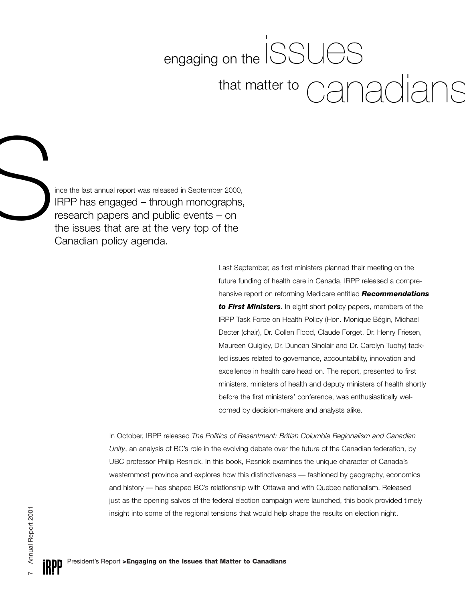## engaging on the  $ISSU\text{eS}$ canadians that matter to

IRPP has engaged – through monographs, research papers and public events – on the issues that are at the very top of the Canadian policy agenda. FRPP has engaged - through monographs<br>research papers and public events - on<br>the issues that are at the very top of the<br>Canadian policy agenda

> Last September, as first ministers planned their meeting on the future funding of health care in Canada, IRPP released a comprehensive report on reforming Medicare entitled *[Recommendations](http://www.irpp.org/miscpubs/oth_home.htm) [to First Ministers](http://www.irpp.org/miscpubs/oth_home.htm)*. In eight short policy papers, members of the IRPP Task Force on Health Policy (Hon. Monique Bégin, Michael Decter (chair), Dr. Collen Flood, Claude Forget, Dr. Henry Friesen, Maureen Quigley, Dr. Duncan Sinclair and Dr. Carolyn Tuohy) tackled issues related to governance, accountability, innovation and excellence in health care head on. The report, presented to first ministers, ministers of health and deputy ministers of health shortly before the first ministers' conference, was enthusiastically welcomed by decision-makers and analysts alike.

In October, IRPP released *The Politics of Resentment: British Columbia Regionalism and Canadian Unity*, an analysis of BC's role in the evolving debate over the future of the Canadian federation, by UBC professor Philip Resnick. In this book, Resnick examines the unique character of Canada's westernmost province and explores how this distinctiveness — fashioned by geography, economics and history — has shaped BC's relationship with Ottawa and with Quebec nationalism. Released just as the opening salvos of the federal election campaign were launched, this book provided timely insight into some of the regional tensions that would help shape the results on election night.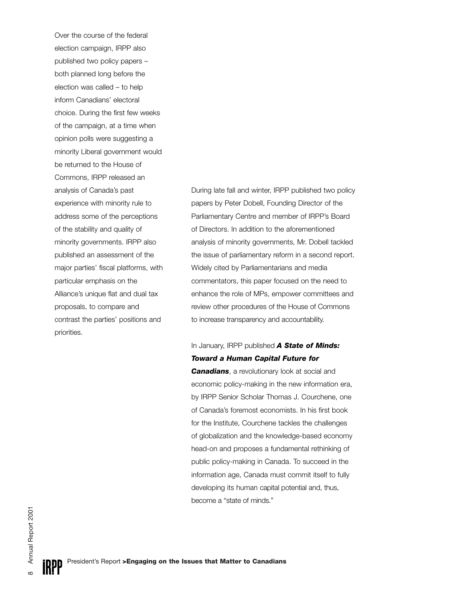Over the course of the federal election campaign, IRPP also published two policy papers – both planned long before the election was called – to help inform Canadians' electoral choice. During the first few weeks of the campaign, at a time when opinion polls were suggesting a minority Liberal government would be returned to the House of Commons, IRPP released an analysis of Canada's past experience with minority rule to address some of the perceptions of the stability and quality of minority governments. IRPP also published an assessment of the major parties' fiscal platforms, with particular emphasis on the Alliance's unique flat and dual tax proposals, to compare and contrast the parties' positions and priorities.

During late fall and winter, IRPP published two policy papers by Peter Dobell, Founding Director of the Parliamentary Centre and member of IRPP's Board of Directors. In addition to the aforementioned analysis of minority governments, Mr. Dobell tackled the issue of parliamentary reform in a second report. Widely cited by Parliamentarians and media commentators, this paper focused on the need to enhance the role of MPs, empower committees and review other procedures of the House of Commons to increase transparency and accountability.

#### In January, IRPP published *[A State of Minds:](http://www.irpp.org/books/archive/134287.htm) [Toward a Human Capital Future for](http://www.irpp.org/books/archive/134287.htm)*

*[Canadians](http://www.irpp.org/books/archive/134287.htm)*, a revolutionary look at social and economic policy-making in the new information era, by IRPP Senior Scholar Thomas J. Courchene, one of Canada's foremost economists. In his first book for the Institute, Courchene tackles the challenges of globalization and the knowledge-based economy head-on and proposes a fundamental rethinking of public policy-making in Canada. To succeed in the information age, Canada must commit itself to fully developing its human capital potential and, thus, become a "state of minds."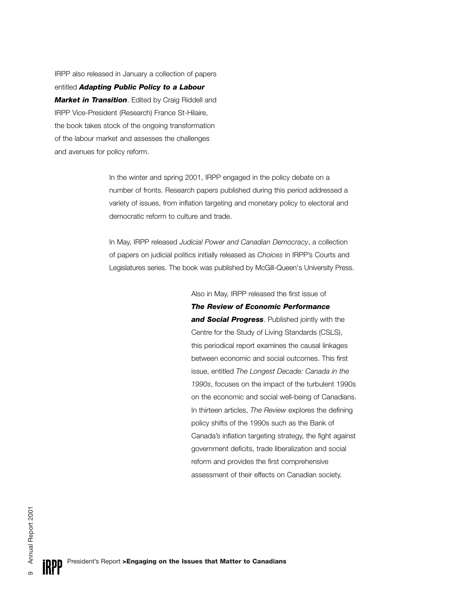IRPP also released in January a collection of papers entitled *[Adapting Public Policy to a Labour](http://www.irpp.org/books/archive/134317.htm) [Market in Transition](http://www.irpp.org/books/archive/134317.htm)*. Edited by Craig Riddell and IRPP Vice-President (Research) France St-Hilaire, the book takes stock of the ongoing transformation of the labour market and assesses the challenges and avenues for policy reform.

> In the winter and spring 2001, IRPP engaged in the policy debate on a number of fronts. Research papers published during this period addressed a variety of issues, from inflation targeting and monetary policy to electoral and democratic reform to culture and trade.

In May, IRPP released *Judicial Power and Canadian Democracy*, a collection of papers on judicial politics initially released as *Choices* in IRPP's Courts and Legislatures series. The book was published by McGill-Queen's University Press.

> Also in May, IRPP released the first issue of *[The Review of Economic Performance](http://www.irpp.org/books/archive/185608.htm)  [and Social Progress](http://www.irpp.org/books/archive/185608.htm)*. Published jointly with the Centre for the Study of Living Standards (CSLS), this periodical report examines the causal linkages between economic and social outcomes. This first issue, entitled *The Longest Decade: Canada in the 1990s*, focuses on the impact of the turbulent 1990s on the economic and social well-being of Canadians. In thirteen articles, *The Review* explores the defining policy shifts of the 1990s such as the Bank of Canada's inflation targeting strategy, the fight against government deficits, trade liberalization and social reform and provides the first comprehensive assessment of their effects on Canadian society.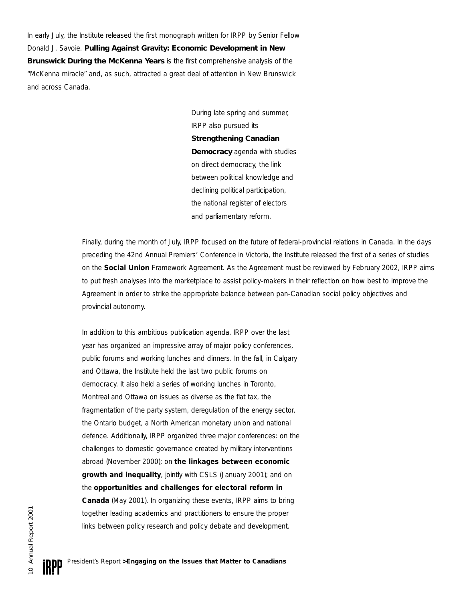In early July, the Institute released the first monograph written for IRPP by Senior Fellow Donald J. Savoie. *[Pulling Against Gravity: Economic Development in New](http://www.irpp.org/books/archive/191592.htm) [Brunswick During the McKenna Years](http://www.irpp.org/books/archive/191592.htm)* is the first comprehensive analysis of the "McKenna miracle" and, as such, attracted a great deal of attention in New Brunswick and across Canada.

> During late spring and summer, IRPP also pursued its *[Strengthening Canadian](http://www.irpp.org/research/re_scd.htm) [Democracy](http://www.irpp.org/research/re_scd.htm)* agenda with studies on direct democracy, the link between political knowledge and declining political participation, the national register of electors and parliamentary reform.

Finally, during the month of July, IRPP focused on the future of federal-provincial relations in Canada. In the days preceding the 42nd Annual Premiers' Conference in Victoria, the Institute released the first of a series of studies on the **[Social Union](http://www.irpp.org/research/re_su.htm)** Framework Agreement. As the Agreement must be reviewed by February 2002, IRPP aims to put fresh analyses into the marketplace to assist policy-makers in their reflection on how best to improve the Agreement in order to strike the appropriate balance between pan-Canadian social policy objectives and provincial autonomy.

In addition to this ambitious publication agenda, IRPP over the last year has organized an impressive array of major policy conferences, public forums and working lunches and dinners. In the fall, in Calgary and Ottawa, the Institute held the last two public forums on democracy. It also held a series of working lunches in Toronto, Montreal and Ottawa on issues as diverse as the flat tax, the fragmentation of the party system, deregulation of the energy sector, the Ontario budget, a North American monetary union and national defence. Additionally, IRPP organized three major conferences: on the challenges to domestic governance created by military interventions abroad (November 2000); on **[the linkages between economic](http://www.irpp.org/events/ev_past.htm) [growth and inequality](http://www.irpp.org/events/ev_past.htm)**, jointly with CSLS (January 2001); and on the **[opportunities and challenges for electoral reform in](http://www.irpp.org/events/ev_past.htm) [Canada](http://www.irpp.org/events/ev_past.htm)** (May 2001). In organizing these events, IRPP aims to bring together leading academics and practitioners to ensure the proper links between policy research and policy debate and development.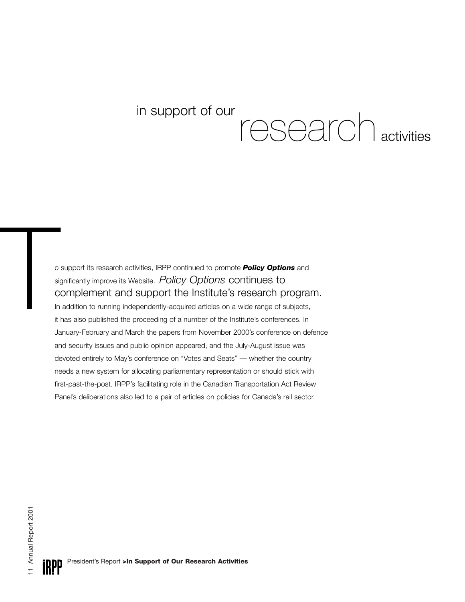# in support of our  $r$  research activities

o support its research activities, IRPP continued to promote *[Policy Options](http://www.irpp.org/po/po_home.htm)* and significantly improve its Website. Policy Options continues to In addition to running independently-acquired articles on a wide range of subjects, it has also published the proceeding of a number of the Institute's conferences. In January-February and March the papers from November 2000's conference on defence and security issues and public opinion appeared, and the July-August issue was devoted entirely to May's conference on "Votes and Seats" — whether the country needs a new system for allocating parliamentary representation or should stick with first-past-the-post. IRPP's facilitating role in the Canadian Transportation Act Review Panel's deliberations also led to a pair of articles on policies for Canada's rail sector. o support its research activities, IRPP continued to promote **Policy Optic**<br>significantly improve its Website. Policy Options continues to<br>Complement and support the Institute's research p<br>In addition to running independen complement and support the Institute's research program.

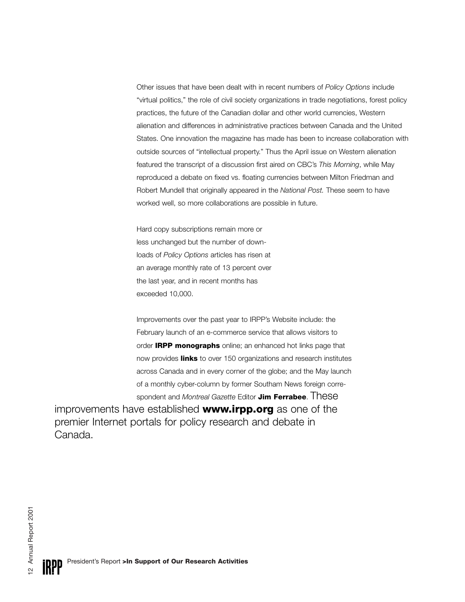Other issues that have been dealt with in recent numbers of *Policy Options* include "virtual politics," the role of civil society organizations in trade negotiations, forest policy practices, the future of the Canadian dollar and other world currencies, Western alienation and differences in administrative practices between Canada and the United States. One innovation the magazine has made has been to increase collaboration with outside sources of "intellectual property." Thus the April issue on Western alienation featured the transcript of a discussion first aired on CBC's *This Morning*, while May reproduced a debate on fixed vs. floating currencies between Milton Friedman and Robert Mundell that originally appeared in the *National Post.* These seem to have worked well, so more collaborations are possible in future.

Hard copy subscriptions remain more or less unchanged but the number of downloads of *Policy Options* articles has risen at an average monthly rate of 13 percent over the last year, and in recent months has exceeded 10,000.

Improvements over the past year to IRPP's Website include: the February launch of an e-commerce service that allows visitors to order **[IRPP monographs](http://www.irpp.org/books/bk_home.htm)** online; an enhanced hot links page that now provides **[links](http://www.irpp.org/links/li_home.htm)** to over 150 organizations and research institutes across Canada and in every corner of the globe; and the May launch of a monthly cyber-column by former Southam News foreign correspondent and *Montreal Gazette* Editor **[Jim Ferrabee](http://www.irpp.org/ferrabee/jf_home.htm)**. These

improvements have established **www.irpp.org** as one of the premier Internet portals for policy research and debate in Canada.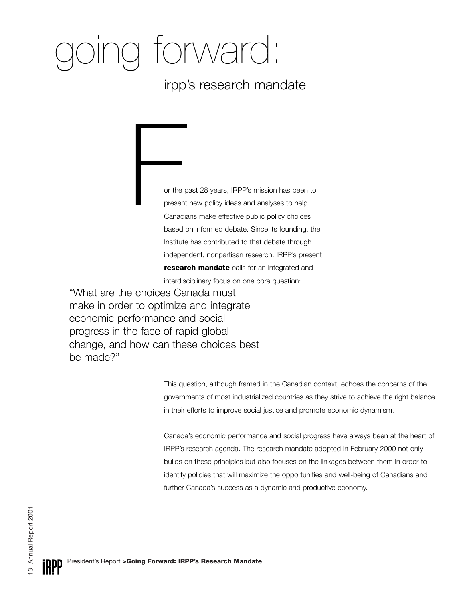# ving forward:

## irpp's research mandate

or the past 28 years, IRPP's mission has been to present new policy ideas and analyses to help Canadians make effective public policy choices based on informed debate. Since its founding, the Institute has contributed to that debate through independent, nonpartisan research. IRPP's present **[research mandate](http://www.irpp.org/research/re_home.htm)** calls for an integrated and or the present<br>
Canadia<br>
begod a

interdisciplinary focus on one core question:

"What are the choices Canada must make in order to optimize and integrate economic performance and social progress in the face of rapid global change, and how can these choices best be made?"

> This question, although framed in the Canadian context, echoes the concerns of the governments of most industrialized countries as they strive to achieve the right balance in their efforts to improve social justice and promote economic dynamism.

> Canada's economic performance and social progress have always been at the heart of IRPP's research agenda. The research mandate adopted in February 2000 not only builds on these principles but also focuses on the linkages between them in order to identify policies that will maximize the opportunities and well-being of Canadians and further Canada's success as a dynamic and productive economy.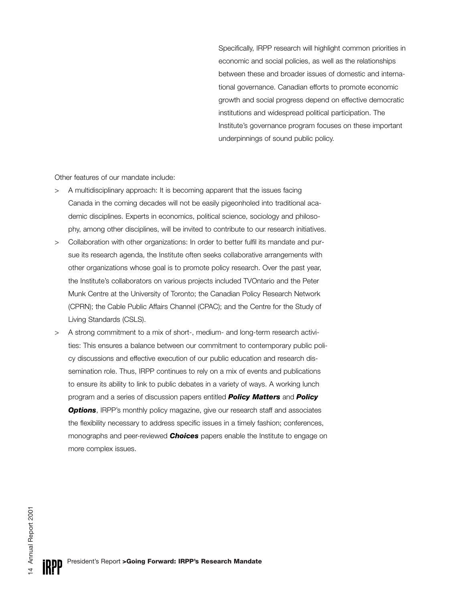Specifically, IRPP research will highlight common priorities in economic and social policies, as well as the relationships between these and broader issues of domestic and international governance. Canadian efforts to promote economic growth and social progress depend on effective democratic institutions and widespread political participation. The Institute's governance program focuses on these important underpinnings of sound public policy.

Other features of our mandate include:

- > A multidisciplinary approach: It is becoming apparent that the issues facing Canada in the coming decades will not be easily pigeonholed into traditional academic disciplines. Experts in economics, political science, sociology and philosophy, among other disciplines, will be invited to contribute to our research initiatives.
- > Collaboration with other organizations: In order to better fulfil its mandate and pursue its research agenda, the Institute often seeks collaborative arrangements with other organizations whose goal is to promote policy research. Over the past year, the Institute's collaborators on various projects included TVOntario and the Peter Munk Centre at the University of Toronto; the Canadian Policy Research Network (CPRN); the Cable Public Affairs Channel (CPAC); and the Centre for the Study of Living Standards (CSLS).
- > A strong commitment to a mix of short-, medium- and long-term research activities: This ensures a balance between our commitment to contemporary public policy discussions and effective execution of our public education and research dissemination role. Thus, IRPP continues to rely on a mix of events and publications to ensure its ability to link to public debates in a variety of ways. A working lunch program and a series of discussion papers entitled *[Policy Matters](http://www.irpp.org/pm/pm_home.htm)* and *[Policy](http://www.irpp.org/po/po_home.htm)* **[Options](http://www.irpp.org/po/po_home.htm)**, IRPP's monthly policy magazine, give our research staff and associates the flexibility necessary to address specific issues in a timely fashion; conferences, monographs and peer-reviewed *[Choices](http://www.irpp.org/choices/ch_home.htm)* papers enable the Institute to engage on more complex issues.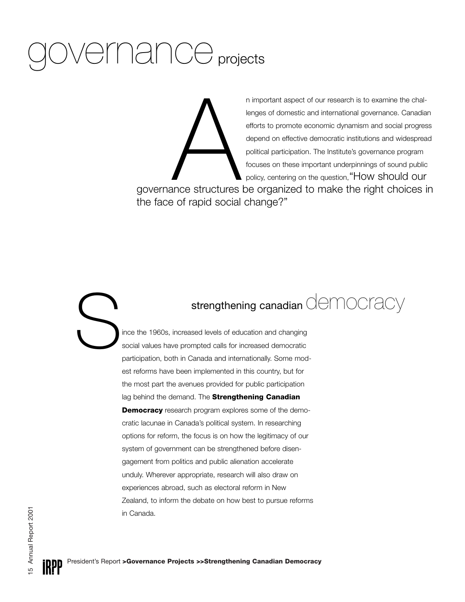# governance projects

n important aspect of our research is to examine the challenges of domestic and international governance. Canadian efforts to promote economic dynamism and social progress depend on effective democratic institutions and widespread political participation. The Institute's governance program focuses on these important underpinnings of sound public policy, centering on the question, "How should our

governance structures be organized to make the right choices in the face of rapid social change?" nce structures

## strengthening canadian democracy

ince the 1960s, increased levels of education and changing social values have prompted calls for increased democratic participation, both in Canada and internationally. Some modest reforms have been implemented in this country, but for the most part the avenues provided for public participation lag behind the demand. The **[Strengthening Canadian](http://www.irpp.org/research/re_scd.htm) [Democracy](http://www.irpp.org/research/re_scd.htm)** research program explores some of the democratic lacunae in Canada's political system. In researching options for reform, the focus is on how the legitimacy of our system of government can be strengthened before disengagement from politics and public alienation accelerate unduly. Wherever appropriate, research will also draw on experiences abroad, such as electoral reform in New Zealand, to inform the debate on how best to pursue reforms in Canada. S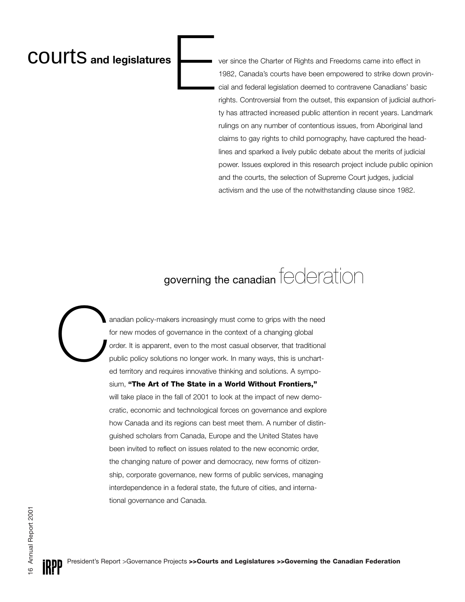## **COUITS** and legislatures **Letter and Set of Alghts and Freedoms came into effect in**

1982, Canada's courts have been empowered to strike down provincial and federal legislation deemed to contravene Canadians' basic rights. Controversial from the outset, this expansion of judicial authority has attracted increased public attention in recent years. Landmark rulings on any number of contentious issues, from Aboriginal land claims to gay rights to child pornography, have captured the headlines and sparked a lively public debate about the merits of judicial power. Issues explored in this research project include public opinion and the courts, the selection of Supreme Court judges, judicial activism and the use of the notwithstanding clause since 1982.

## governing the canadian federation

anadian policy-makers increasingly must come to grips with the need for new modes of governance in the context of a changing global order. It is apparent, even to the most casual observer, that traditional public policy solutions no longer work. In many ways, this is uncharted territory and requires innovative thinking and solutions. A symposium, **["The Art of The State in a World Without Frontiers,"](http://www.irpp.org/research/re_fed.htm)** will take place in the fall of 2001 to look at the impact of new democratic, economic and technological forces on governance and explore how Canada and its regions can best meet them. A number of distinguished scholars from Canada, Europe and the United States have been invited to reflect on issues related to the new economic order, the changing nature of power and democracy, new forms of citizenship, corporate governance, new forms of public services, managing interdependence in a federal state, the future of cities, and international governance and Canada. C

E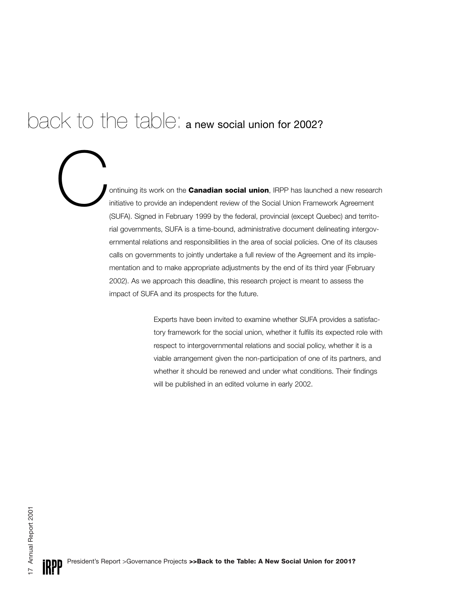## back to the table: a new social union for 2002?

ontinuing its work on the **[Canadian social union](http://www.irpp.org/research/re_su.htm)**, IRPP has launched a new research initiative to provide an independent review of the Social Union Framework Agreement (SUFA). Signed in February 1999 by the federal, provin initiative to provide an independent review of the Social Union Framework Agreement (SUFA). Signed in February 1999 by the federal, provincial (except Quebec) and territorial governments, SUFA is a time-bound, administrative document delineating intergovernmental relations and responsibilities in the area of social policies. One of its clauses calls on governments to jointly undertake a full review of the Agreement and its implementation and to make appropriate adjustments by the end of its third year (February 2002). As we approach this deadline, this research project is meant to assess the impact of SUFA and its prospects for the future.

> Experts have been invited to examine whether SUFA provides a satisfactory framework for the social union, whether it fulfils its expected role with respect to intergovernmental relations and social policy, whether it is a viable arrangement given the non-participation of one of its partners, and whether it should be renewed and under what conditions. Their findings will be published in an edited volume in early 2002.

*IRPP*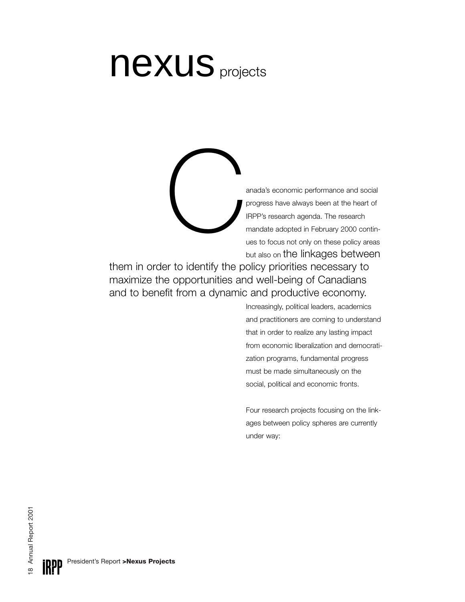# [nexus](http://www.irpp.org/research/re_nexus.htm) projects

anada's economic performance and social progress have always been at the heart of IRPP's research agenda. The research mandate adopted in February 2000 continues to focus not only on these policy areas but also on the linkages between  $\bigcirc$ 

them in order to identify the policy priorities necessary to maximize the opportunities and well-being of Canadians and to benefit from a dynamic and productive economy.

> Increasingly, political leaders, academics and practitioners are coming to understand that in order to realize any lasting impact from economic liberalization and democratization programs, fundamental progress must be made simultaneously on the social, political and economic fronts.

> Four research projects focusing on the linkages between policy spheres are currently under way: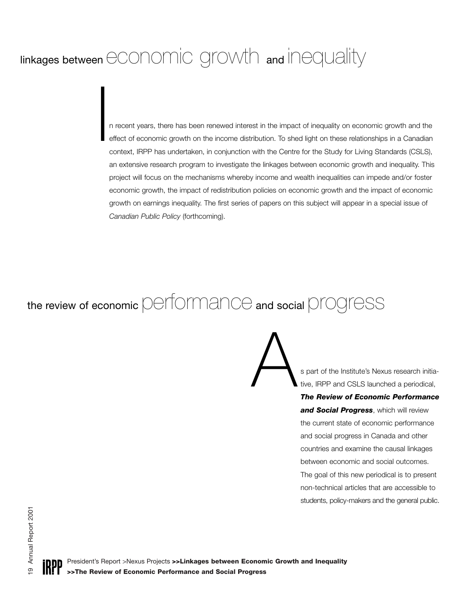## linkages between economic growth and inequality

n recent years, there has been renewed interest in the impact of inequality on economic growth and the effect of economic growth on the income distribution. To shed light on these relationships in a Canadian context, IRPP has undertaken, in conjunction with the Centre for the Study for Living Standards (CSLS), an extensive research program to investigate the linkages between economic growth and inequality. This project will focus on the mechanisms whereby income and wealth inequalities can impede and/or foster economic growth, the impact of redistribution policies on economic growth and the impact of economic growth on earnings inequality. The first series of papers on this subject will appear in a special issue of *Canadian Public Policy* (forthcoming). I

## the review of economic performance and social progress

A s part of the Institute's Nexus research initiative, IRPP and CSLS launched a periodical,

*[The Review of Economic Performance](http://www.irpp.org/research/re_epsp.htm) [and Social Progress](http://www.irpp.org/research/re_epsp.htm)*, which will review the current state of economic performance and social progress in Canada and other countries and examine the causal linkages between economic and social outcomes. The goal of this new periodical is to present non-technical articles that are accessible to students, policy-makers and the general public.

President's Report >Nexus Projects **>>Linkages between Economic Growth and Inequality >>The Review of Economic Performance and Social Progress**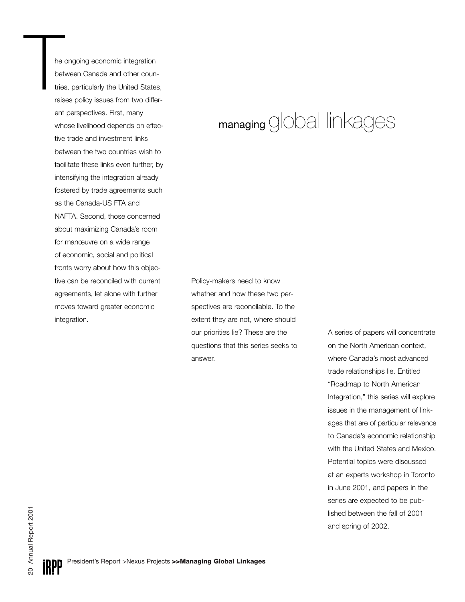he ongoing economic integration between Canada and other countries, particularly the United States, raises policy issues from two different perspectives. First, many whose livelihood depends on effective trade and investment links between the two countries wish to facilitate these links even further, by intensifying the integration already fostered by trade agreements such as the Canada-US FTA and NAFTA. Second, those concerned about maximizing Canada's room for manœuvre on a wide range of economic, social and political fronts worry about how this objective can be reconciled with current agreements, let alone with further moves toward greater economic integration. he<br>bet<br>trie<br>rais

## managing global linkages

Policy-makers need to know whether and how these two perspectives are reconcilable. To the extent they are not, where should our priorities lie? These are the questions that this series seeks to answer.

A series of papers will concentrate on the North American context, where Canada's most advanced trade relationships lie. Entitled "Roadmap to North American Integration," this series will explore issues in the management of linkages that are of particular relevance to Canada's economic relationship with the United States and Mexico. Potential topics were discussed at an experts workshop in Toronto in June 2001, and papers in the series are expected to be published between the fall of 2001 and spring of 2002.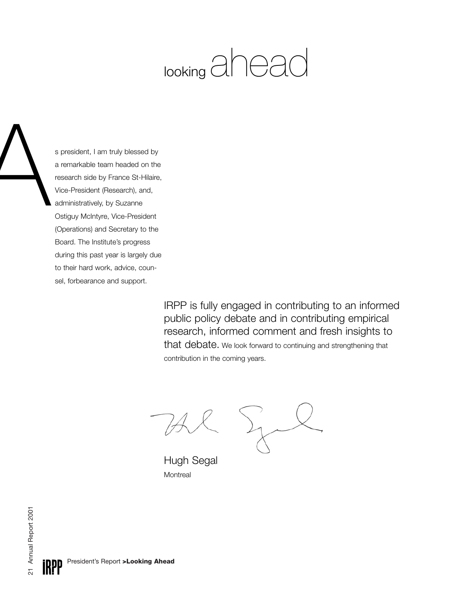# looking aheac

s president, I am truly blessed by a remarkable team headed on the research side by France St-Hilaire, Vice-President (Research), and, administratively, by Suzanne Ostiguy McIntyre, Vice-President (Operations) and Secretary to the Board. The Institute's progress during this past year is largely due to their hard work, advice, counsel, forbearance and support.

> IRPP is fully engaged in contributing to an informed public policy debate and in contributing empirical research, informed comment and fresh insights to that debate. We look forward to continuing and strengthening that contribution in the coming years.

Hugh Segal **Montreal** 

21 Annual Report 2001 21 Annual Report 2001

A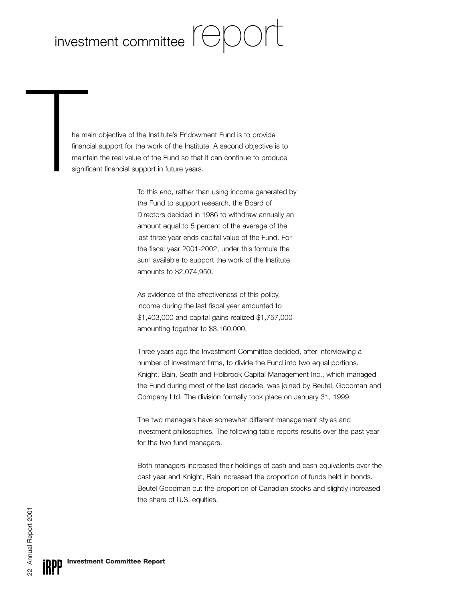## investment committee  $\text{F}\bigoplus\text{C}\bigcap\text{F}$

he main objective of the Institute's Endowment Fund is to provide financial support for the work of the Institute. A second objective is to maintain the real value of the Fund so that it can continue to produce significant financial support in future years. he m<br>finan<br>main<br>signi

To this end, rather than using income generated by the Fund to support research, the Board of Directors decided in 1986 to withdraw annually an amount equal to 5 percent of the average of the last three year ends capital value of the Fund. For the fiscal year 2001-2002, under this formula the sum available to support the work of the Institute amounts to \$2,074,950.

As evidence of the effectiveness of this policy, income during the last fiscal year amounted to \$1,403,000 and capital gains realized \$1,757,000 amounting together to \$3,160,000.

Three years ago the Investment Committee decided, after interviewing a number of investment firms, to divide the Fund into two equal portions. Knight, Bain, Seath and Holbrook Capital Management Inc., which managed the Fund during most of the last decade, was joined by Beutel, Goodman and Company Ltd. The division formally took place on January 31, 1999.

The two managers have somewhat different management styles and investment philosophies. The following table reports results over the past year for the two fund managers.

Both managers increased their holdings of cash and cash equivalents over the past year and Knight, Bain increased the proportion of funds held in bonds. Beutel Goodman cut the proportion of Canadian stocks and slightly increased the share of U.S. equities.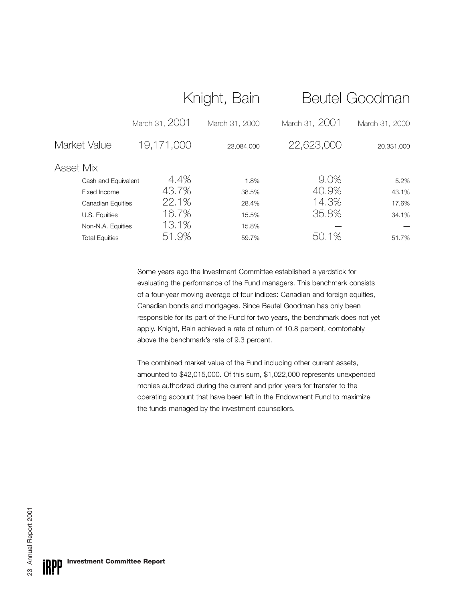|                             |                |                | Beutel Goodman |
|-----------------------------|----------------|----------------|----------------|
| March 31, 2001              | March 31, 2000 | March 31, 2001 | March 31, 2000 |
| 19,171,000                  | 23,084,000     | 22,623,000     | 20,331,000     |
|                             |                |                |                |
| 4.4%<br>Cash and Equivalent | 1.8%           | 9.0%           | 5.2%           |
| 43.7%                       | 38.5%          | 40.9%          | 43.1%          |
| 22.1%<br>Canadian Equities  | 28.4%          | 14.3%          | 17.6%          |
| 16.7%                       | 15.5%          | 35.8%          | 34.1%          |
| 13.1%<br>Non-N.A. Equities  | 15.8%          |                |                |
| 51.9%                       | 59.7%          | 50.1%          | 51.7%          |
|                             |                | Knight, Bain   |                |

Some years ago the Investment Committee established a yardstick for evaluating the performance of the Fund managers. This benchmark consists of a four-year moving average of four indices: Canadian and foreign equities, Canadian bonds and mortgages. Since Beutel Goodman has only been responsible for its part of the Fund for two years, the benchmark does not yet apply. Knight, Bain achieved a rate of return of 10.8 percent, comfortably above the benchmark's rate of 9.3 percent.

The combined market value of the Fund including other current assets, amounted to \$42,015,000. Of this sum, \$1,022,000 represents unexpended monies authorized during the current and prior years for transfer to the operating account that have been left in the Endowment Fund to maximize the funds managed by the investment counsellors.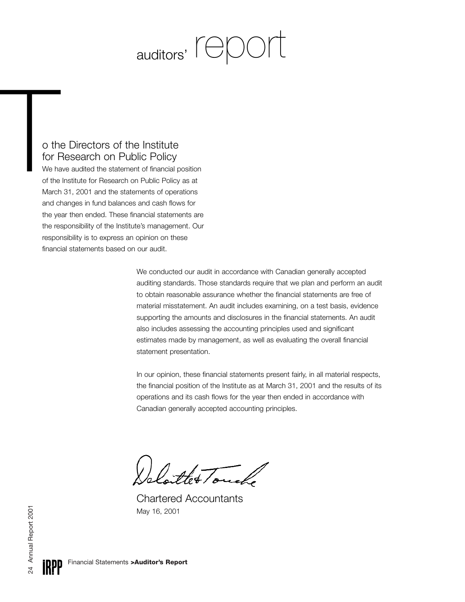# auditors' **report**

#### o the Directors of the Institute for Research on Public Policy

We have audited the statement of financial position of the Institute for Research on Public Policy as at March 31, 2001 and the statements of operations and changes in fund balances and cash flows for the year then ended. These financial statements are the responsibility of the Institute's management. Our responsibility is to express an opinion on these financial statements based on our audit. Oth<br>for I<br>We hide<br>of the<br>March

> We conducted our audit in accordance with Canadian generally accepted auditing standards. Those standards require that we plan and perform an audit to obtain reasonable assurance whether the financial statements are free of material misstatement. An audit includes examining, on a test basis, evidence supporting the amounts and disclosures in the financial statements. An audit also includes assessing the accounting principles used and significant estimates made by management, as well as evaluating the overall financial statement presentation.

> In our opinion, these financial statements present fairly, in all material respects, the financial position of the Institute as at March 31, 2001 and the results of its operations and its cash flows for the year then ended in accordance with Canadian generally accepted accounting principles.

the Touch

Chartered Accountants May 16, 2001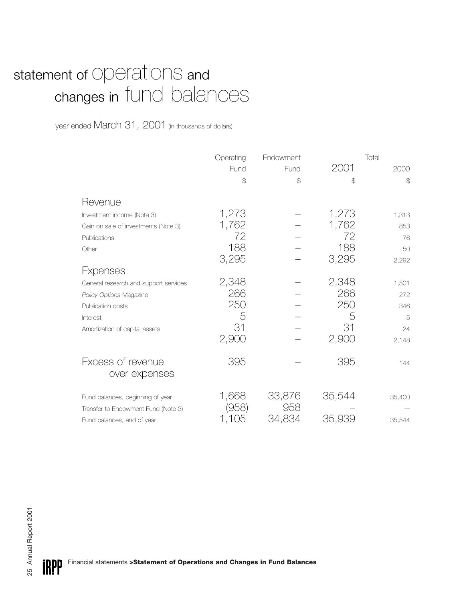## statement of Operations and changes in fund balances

year ended March 31, 2001 (in thousands of dollars)

|                                       | Operating<br>Fund | Endowment<br>Fund | 2001   | Total<br>2000 |
|---------------------------------------|-------------------|-------------------|--------|---------------|
|                                       | \$                | \$                | \$     | $\mathcal{Z}$ |
| Revenue                               |                   |                   |        |               |
| Investment income (Note 3)            | 1,273             |                   | 1,273  | 1,313         |
| Gain on sale of investments (Note 3)  | 1,762             |                   | 1,762  | 853           |
| Publications                          | 72                |                   | 72     | 76            |
| Other                                 | 188               |                   | 188    | 50            |
|                                       | 3,295             |                   | 3,295  | 2,292         |
| Expenses                              |                   |                   |        |               |
| General research and support services | 2,348             |                   | 2,348  | 1,501         |
| Policy Options Magazine               | 266               |                   | 266    | 272           |
| Publication costs                     | 250               |                   | 250    | 346           |
| Interest                              | 5                 |                   | 5      | 5             |
| Amortization of capital assets        | 31                |                   | 31     | 24            |
|                                       | 2,900             |                   | 2,900  | 2,148         |
| Excess of revenue<br>over expenses    | 395               |                   | 395    | 144           |
|                                       |                   |                   |        |               |
| Fund balances, beginning of year      | 1,668             | 33,876            | 35,544 | 35,400        |
| Transfer to Endowment Fund (Note 3)   | (958)             | 958               |        |               |
| Fund balances, end of year            | 1,105             | 34,834            | 35,939 | 35,544        |

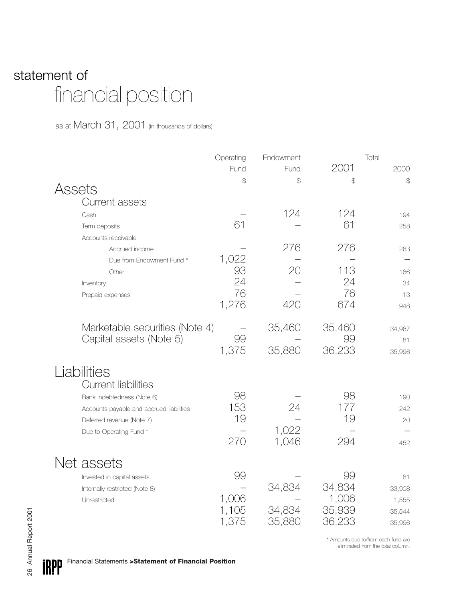## statement of financial position

as at March 31, 2001 (in thousands of dollars)

|        |                                                                                                                                                                             | Operating                     | Endowment                  |                                           | Total                                     |
|--------|-----------------------------------------------------------------------------------------------------------------------------------------------------------------------------|-------------------------------|----------------------------|-------------------------------------------|-------------------------------------------|
|        |                                                                                                                                                                             | Fund                          | Fund                       | 2001                                      | 2000                                      |
| Assets |                                                                                                                                                                             | \$                            | $\mathcal{L}$              | \$                                        | $\mathcal{L}$                             |
|        | <b>Current assets</b><br>Cash<br>Term deposits                                                                                                                              | 61                            | 124                        | 124<br>61                                 | 194<br>258                                |
|        | Accounts receivable<br>Accrued income<br>Due from Endowment Fund *                                                                                                          | 1,022                         | 276                        | 276                                       | 263                                       |
|        | Other<br>Inventory<br>Prepaid expenses                                                                                                                                      | 93<br>24<br>76<br>1,276       | 20<br>420                  | 113<br>24<br>76<br>674                    | 186<br>34<br>13<br>948                    |
|        | Marketable securities (Note 4)<br>Capital assets (Note 5)                                                                                                                   | 99<br>1,375                   | 35,460<br>35,880           | 35,460<br>99<br>36,233                    | 34,967<br>81<br>35,996                    |
|        | Liabilities<br><b>Current liabilities</b><br>Bank indebtedness (Note 6)<br>Accounts payable and accrued liabilities<br>Deferred revenue (Note 7)<br>Due to Operating Fund * | 98<br>153<br>19<br>270        | 24<br>1,022<br>1,046       | 98<br>177<br>19<br>294                    | 190<br>242<br>20<br>452                   |
|        | Net assets<br>Invested in capital assets<br>Internally restricted (Note 8)<br>Unrestricted                                                                                  | 99<br>1,006<br>1,105<br>1,375 | 34,834<br>34,834<br>35,880 | 99<br>34,834<br>1,006<br>35,939<br>36,233 | 81<br>33,908<br>1,555<br>35,544<br>35,996 |

\* Amounts due to/from each fund are eliminated from the total column.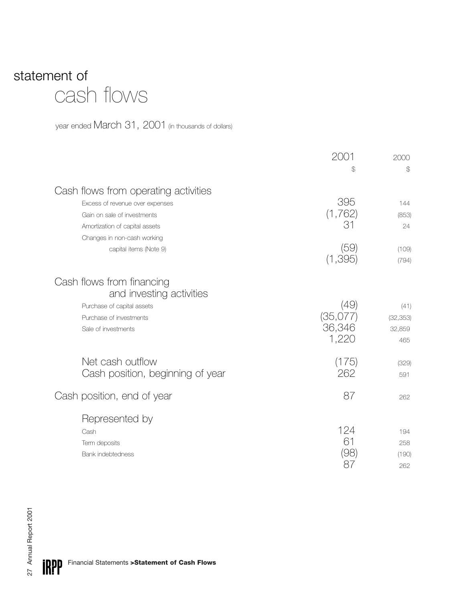## statement of cash flows

year ended March 31, 2001 (in thousands of dollars)

|                                                                                                                                          | 2001                                | 2000                               |
|------------------------------------------------------------------------------------------------------------------------------------------|-------------------------------------|------------------------------------|
|                                                                                                                                          | \$                                  | $\mathcal{L}$                      |
| Cash flows from operating activities<br>Excess of revenue over expenses<br>Gain on sale of investments<br>Amortization of capital assets | 395<br>(1,762)<br>31                | 144<br>(853)<br>24                 |
| Changes in non-cash working<br>capital items (Note 9)                                                                                    | (59)<br>(1, 395)                    | (109)<br>(794)                     |
| Cash flows from financing<br>and investing activities<br>Purchase of capital assets<br>Purchase of investments<br>Sale of investments    | (49)<br>(35,077)<br>36,346<br>1,220 | (41)<br>(32, 353)<br>32,859<br>465 |
| Net cash outflow<br>Cash position, beginning of year                                                                                     | (175)<br>262                        | (329)<br>591                       |
| Cash position, end of year                                                                                                               | 87                                  | 262                                |
| Represented by<br>Cash<br>Term deposits<br><b>Bank indebtedness</b>                                                                      | 124<br>61<br>(98)<br>87             | 194<br>258<br>(190)<br>262         |

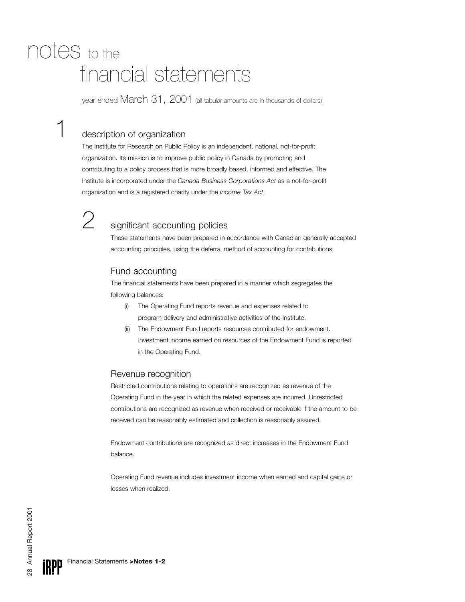## financial statements notes to the

year ended March 31, 2001 (all tabular amounts are in thousands of dollars)

#### description of organization

The Institute for Research on Public Policy is an independent, national, not-for-profit organization. Its mission is to improve public policy in Canada by promoting and contributing to a policy process that is more broadly based, informed and effective. The Institute is incorporated under the *Canada Business Corporations Act* as a not-for-profit organization and is a registered charity under the *Income Tax Act*.



## 2 significant accounting policies

These statements have been prepared in accordance with Canadian generally accepted accounting principles, using the deferral method of accounting for contributions.

#### Fund accounting

The financial statements have been prepared in a manner which segregates the following balances:

- (i) The Operating Fund reports revenue and expenses related to program delivery and administrative activities of the Institute.
- (ii) The Endowment Fund reports resources contributed for endowment. Investment income earned on resources of the Endowment Fund is reported in the Operating Fund.

#### Revenue recognition

Restricted contributions relating to operations are recognized as revenue of the Operating Fund in the year in which the related expenses are incurred. Unrestricted contributions are recognized as revenue when received or receivable if the amount to be received can be reasonably estimated and collection is reasonably assured.

Endowment contributions are recognized as direct increases in the Endowment Fund balance.

Operating Fund revenue includes investment income when earned and capital gains or losses when realized.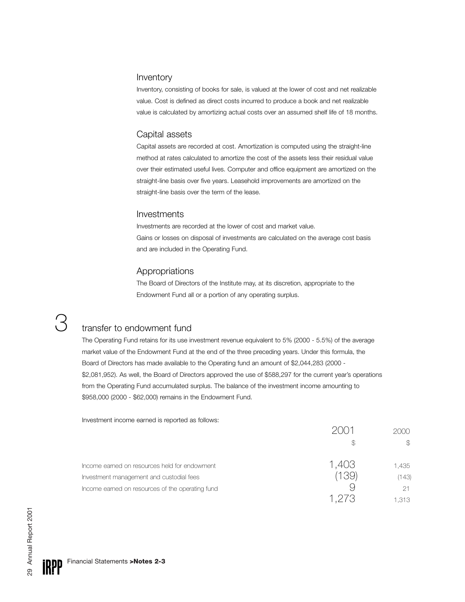#### Inventory

Inventory, consisting of books for sale, is valued at the lower of cost and net realizable value. Cost is defined as direct costs incurred to produce a book and net realizable value is calculated by amortizing actual costs over an assumed shelf life of 18 months.

#### Capital assets

Capital assets are recorded at cost. Amortization is computed using the straight-line method at rates calculated to amortize the cost of the assets less their residual value over their estimated useful lives. Computer and office equipment are amortized on the straight-line basis over five years. Leasehold improvements are amortized on the straight-line basis over the term of the lease.

#### Investments

Investments are recorded at the lower of cost and market value. Gains or losses on disposal of investments are calculated on the average cost basis and are included in the Operating Fund.

#### Appropriations

The Board of Directors of the Institute may, at its discretion, appropriate to the Endowment Fund all or a portion of any operating surplus.

#### transfer to endowment fund

The Operating Fund retains for its use investment revenue equivalent to 5% (2000 - 5.5%) of the average market value of the Endowment Fund at the end of the three preceding years. Under this formula, the Board of Directors has made available to the Operating fund an amount of \$2,044,283 (2000 - \$2,081,952). As well, the Board of Directors approved the use of \$588,297 for the current year's operations from the Operating Fund accumulated surplus. The balance of the investment income amounting to \$958,000 (2000 - \$62,000) remains in the Endowment Fund.

Investment income earned is reported as follows:

|                                                  |      | 2000  |
|--------------------------------------------------|------|-------|
|                                                  |      | S     |
| Income earned on resources held for endowment    | .403 | 1,435 |
| Investment management and custodial fees         | 39)  | (143) |
| Income earned on resources of the operating fund |      |       |
|                                                  |      | 1,313 |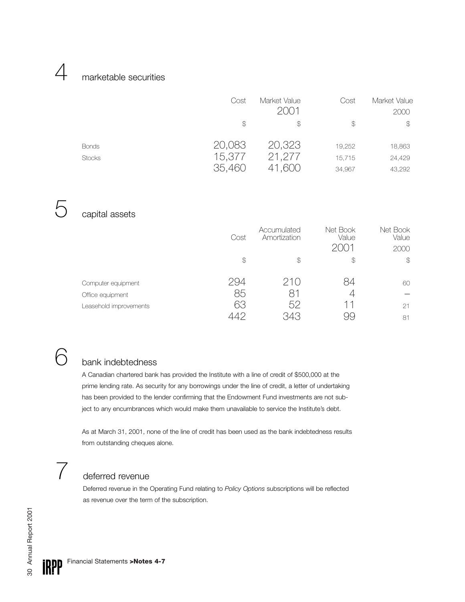#### marketable securities

|                               | Cost<br>\$                 | Market Value<br>2001<br>\$ | Cost<br>$\mathcal{P}$      | Market Value<br>2000<br>\$ |
|-------------------------------|----------------------------|----------------------------|----------------------------|----------------------------|
| <b>Bonds</b><br><b>Stocks</b> | 20,083<br>15,377<br>35,460 | 20,323<br>21,277<br>41,600 | 19,252<br>15.715<br>34,967 | 18,863<br>24,429<br>43,292 |

5

 $\Delta$ 

#### capital assets

|                        | Cost          | Accumulated<br>Amortization | Net Book<br>Value<br>2(1)1 | Net Book<br>Value<br>2000 |
|------------------------|---------------|-----------------------------|----------------------------|---------------------------|
|                        | $\mathcal{F}$ | $\mathcal{P}$               | \$                         | $\mathcal{L}$             |
| Computer equipment     | 294           | 210                         | 84                         | 60                        |
| Office equipment       | 85            | 81                          | 4                          |                           |
| Leasehold improvements | 63            | 52                          | 11                         | 21                        |
|                        |               |                             |                            | 81                        |

## $6$  bank indebtedness

A Canadian chartered bank has provided the Institute with a line of credit of \$500,000 at the prime lending rate. As security for any borrowings under the line of credit, a letter of undertaking has been provided to the lender confirming that the Endowment Fund investments are not subject to any encumbrances which would make them unavailable to service the Institute's debt.

As at March 31, 2001, none of the line of credit has been used as the bank indebtedness results from outstanding cheques alone.

## 7 deferred revenue

Deferred revenue in the Operating Fund relating to *Policy Options* subscriptions will be reflected as revenue over the term of the subscription.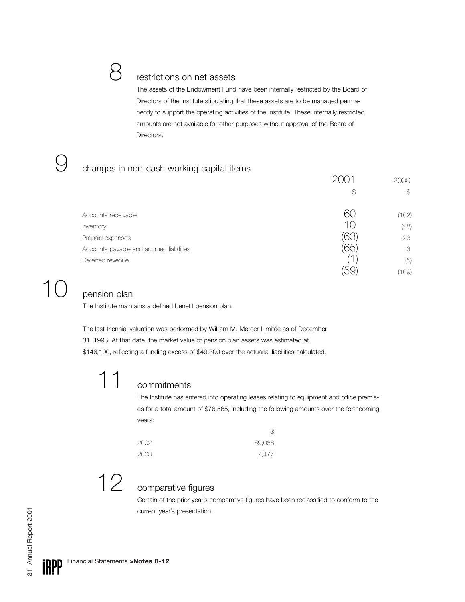#### restrictions on net assets

The assets of the Endowment Fund have been internally restricted by the Board of Directors of the Institute stipulating that these assets are to be managed permanently to support the operating activities of the Institute. These internally restricted amounts are not available for other purposes without approval of the Board of Directors.

#### changes in non-cash working capital items

|                                          |               | 2000          |
|------------------------------------------|---------------|---------------|
|                                          | $\mathcal{L}$ | $\mathcal{L}$ |
| Accounts receivable                      | 60            | (102)         |
| Inventory                                | 1()           | (28)          |
| Prepaid expenses                         | bis           | 23            |
| Accounts payable and accrued liabilities | 65            | 3             |
| Deferred revenue                         |               | (5)           |
|                                          |               | (109)         |

## pension plan

9

The Institute maintains a defined benefit pension plan.

The last triennial valuation was performed by William M. Mercer Limitée as of December 31, 1998. At that date, the market value of pension plan assets was estimated at \$146,100, reflecting a funding excess of \$49,300 over the actuarial liabilities calculated.

## 11 commitments

The Institute has entered into operating leases relating to equipment and office premises for a total amount of \$76,565, including the following amounts over the forthcoming years:

| 2002. | 69,088 |
|-------|--------|
| 2003  | 7,477  |

12

#### comparative figures

Certain of the prior year's comparative figures have been reclassified to conform to the current year's presentation.